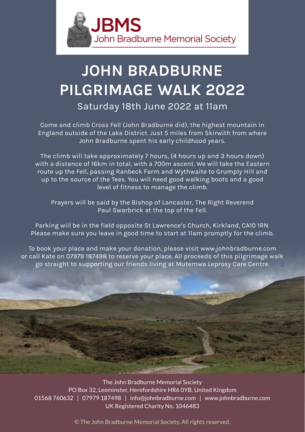

# **JOHN BRADBURNE PILGRIMAGE WALK 2022**

Saturday 18th June 2022 at 11am

Come and climb Cross Fell (John Bradburne did), the highest mountain in England outside of the Lake District. Just 5 miles from Skirwith from where John Bradburne spent his early childhood years.

The climb will take approximately 7 hours, (4 hours up and 3 hours down) with a distance of 16km in total, with a 700m ascent. We will take the Eastern route up the Fell, passing Ranbeck Farm and Wythwaite to Grumply Hill and up to the source of the Tees. You will need good walking boots and a good level of fitness to manage the climb.

Prayers will be said by the Bishop of Lancaster, The Right Reverend Paul Swarbrick at the top of the Fell.

Parking will be in the field opposite St Lawrence's Church, Kirkland, CA10 1RN. Please make sure you leave in good time to start at 11am promptly for the climb.

To book your place and make your donation, please visit www.johnbradburne.com or call Kate on 07979 187498 to reserve your place. All proceeds of this pilgrimage walk go straight to supporting our friends living at Mutemwa Leprosy Care Centre.

The John Bradburne Memorial Society PO Box 32, Leominster, Herefordshire HR6 0YB, United Kingdom 01568 760632 | 07979 187498 | info@johnbradburne.com | www.johnbradburne.com UK Registered Charity No. 1046483

© The John Bradburne Memorial Society. All rights reserved.